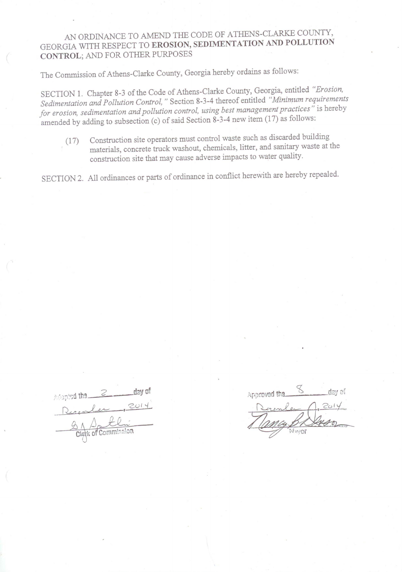## AN ORDINANCE TO AMEND THE CODE OF ATHENS-CLARKE COUNTY, GEORGIA WITH RESPECT TO EROSION, SEDIMENTATION AND POLLUTION **CONTROL; AND FOR OTHER PURPOSES**

The Commission of Athens-Clarke County, Georgia hereby ordains as follows:

SECTION 1. Chapter 8-3 of the Code of Athens-Clarke County, Georgia, entitled "Erosion, Sedimentation and Pollution Control," Section 8-3-4 thereof entitled "Minimum requirements for erosion, sedimentation and pollution control, using best management practices" is hereby amended by adding to subsection (c) of said Section 8-3-4 new item  $(17)$  as follows:

Construction site operators must control waste such as discarded building  $(17)$ materials, concrete truck washout, chemicals, litter, and sanitary waste at the construction site that may cause adverse impacts to water quality.

SECTION 2. All ordinances or parts of ordinance in conflict herewith are hereby repealed.

| progred that |                     | day of |
|--------------|---------------------|--------|
|              |                     |        |
|              |                     |        |
|              | Clerk of Commission |        |

Approved the day of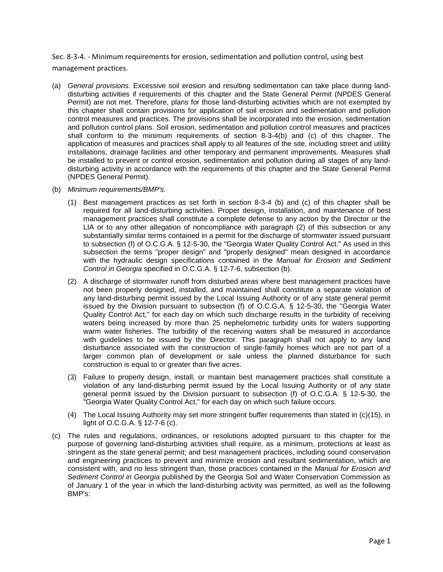Sec. 8-3-4. - Minimum requirements for erosion, sedimentation and pollution control, using best management practices.

- (a) *General provisions.* Excessive soil erosion and resulting sedimentation can take place during landdisturbing activities if requirements of this chapter and the State General Permit (NPDES General Permit) are not met. Therefore, plans for those land-disturbing activities which are not exempted by this chapter shall contain provisions for application of soil erosion and sedimentation and pollution control measures and practices. The provisions shall be incorporated into the erosion, sedimentation and pollution control plans. Soil erosion, sedimentation and pollution control measures and practices shall conform to the minimum requirements of section 8-3-4(b) and (c) of this chapter. The application of measures and practices shall apply to all features of the site, including street and utility installations, drainage facilities and other temporary and permanent improvements. Measures shall be installed to prevent or control erosion, sedimentation and pollution during all stages of any landdisturbing activity in accordance with the requirements of this chapter and the State General Permit (NPDES General Permit).
- (b) *Minimum requirements/BMP's.*
	- (1) Best management practices as set forth in section 8-3-4 (b) and (c) of this chapter shall be required for all land-disturbing activities. Proper design, installation, and maintenance of best management practices shall constitute a complete defense to any action by the Director or the LIA or to any other allegation of noncompliance with paragraph (2) of this subsection or any substantially similar terms contained in a permit for the discharge of stormwater issued pursuant to subsection (f) of O.C.G.A. § 12-5-30, the "Georgia Water Quality Control Act." As used in this subsection the terms "proper design" and "properly designed" mean designed in accordance with the hydraulic design specifications contained in the *Manual for Erosion and Sediment Control in Georgia* specified in O.C.G.A. § 12-7-6, subsection (b).
	- (2) A discharge of stormwater runoff from disturbed areas where best management practices have not been properly designed, installed, and maintained shall constitute a separate violation of any land-disturbing permit issued by the Local Issuing Authority or of any state general permit issued by the Division pursuant to subsection (f) of O.C.G.A. § 12-5-30, the "Georgia Water Quality Control Act," for each day on which such discharge results in the turbidity of receiving waters being increased by more than 25 nephelometric turbidity units for waters supporting warm water fisheries. The turbidity of the receiving waters shall be measured in accordance with guidelines to be issued by the Director. This paragraph shall not apply to any land disturbance associated with the construction of single-family homes which are not part of a larger common plan of development or sale unless the planned disturbance for such construction is equal to or greater than five acres.
	- (3) Failure to properly design, install, or maintain best management practices shall constitute a violation of any land-disturbing permit issued by the Local Issuing Authority or of any state general permit issued by the Division pursuant to subsection (f) of O.C.G.A. § 12-5-30, the "Georgia Water Quality Control Act," for each day on which such failure occurs.
	- (4) The Local Issuing Authority may set more stringent buffer requirements than stated in (c)(15), in light of O.C.G.A. § 12-7-6 (c).
- (c) The rules and regulations, ordinances, or resolutions adopted pursuant to this chapter for the purpose of governing land-disturbing activities shall require, as a minimum, protections at least as stringent as the state general permit; and best management practices, including sound conservation and engineering practices to prevent and minimize erosion and resultant sedimentation, which are consistent with, and no less stringent than, those practices contained in the *Manual for Erosion and Sediment Control in Georgia* published by the Georgia Soil and Water Conservation Commission as of January 1 of the year in which the land-disturbing activity was permitted, as well as the following BMP's: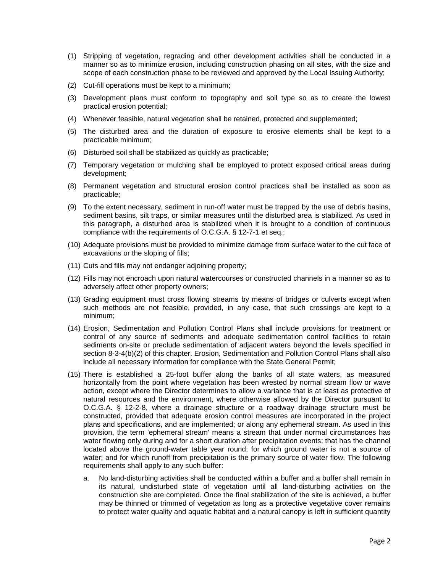- (1) Stripping of vegetation, regrading and other development activities shall be conducted in a manner so as to minimize erosion, including construction phasing on all sites, with the size and scope of each construction phase to be reviewed and approved by the Local Issuing Authority;
- (2) Cut-fill operations must be kept to a minimum;
- (3) Development plans must conform to topography and soil type so as to create the lowest practical erosion potential;
- (4) Whenever feasible, natural vegetation shall be retained, protected and supplemented;
- (5) The disturbed area and the duration of exposure to erosive elements shall be kept to a practicable minimum;
- (6) Disturbed soil shall be stabilized as quickly as practicable;
- (7) Temporary vegetation or mulching shall be employed to protect exposed critical areas during development;
- (8) Permanent vegetation and structural erosion control practices shall be installed as soon as practicable;
- (9) To the extent necessary, sediment in run-off water must be trapped by the use of debris basins, sediment basins, silt traps, or similar measures until the disturbed area is stabilized. As used in this paragraph, a disturbed area is stabilized when it is brought to a condition of continuous compliance with the requirements of O.C.G.A. § 12-7-1 et seq.;
- (10) Adequate provisions must be provided to minimize damage from surface water to the cut face of excavations or the sloping of fills;
- (11) Cuts and fills may not endanger adjoining property;
- (12) Fills may not encroach upon natural watercourses or constructed channels in a manner so as to adversely affect other property owners;
- (13) Grading equipment must cross flowing streams by means of bridges or culverts except when such methods are not feasible, provided, in any case, that such crossings are kept to a minimum;
- (14) Erosion, Sedimentation and Pollution Control Plans shall include provisions for treatment or control of any source of sediments and adequate sedimentation control facilities to retain sediments on-site or preclude sedimentation of adjacent waters beyond the levels specified in section 8-3-4(b)(2) of this chapter. Erosion, Sedimentation and Pollution Control Plans shall also include all necessary information for compliance with the State General Permit;
- (15) There is established a 25-foot buffer along the banks of all state waters, as measured horizontally from the point where vegetation has been wrested by normal stream flow or wave action, except where the Director determines to allow a variance that is at least as protective of natural resources and the environment, where otherwise allowed by the Director pursuant to O.C.G.A. § 12-2-8, where a drainage structure or a roadway drainage structure must be constructed, provided that adequate erosion control measures are incorporated in the project plans and specifications, and are implemented; or along any ephemeral stream. As used in this provision, the term 'ephemeral stream' means a stream that under normal circumstances has water flowing only during and for a short duration after precipitation events; that has the channel located above the ground-water table year round; for which ground water is not a source of water; and for which runoff from precipitation is the primary source of water flow. The following requirements shall apply to any such buffer:
	- a. No land-disturbing activities shall be conducted within a buffer and a buffer shall remain in its natural, undisturbed state of vegetation until all land-disturbing activities on the construction site are completed. Once the final stabilization of the site is achieved, a buffer may be thinned or trimmed of vegetation as long as a protective vegetative cover remains to protect water quality and aquatic habitat and a natural canopy is left in sufficient quantity